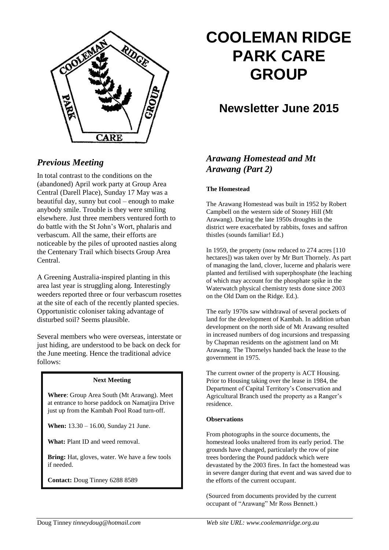

## *Previous Meeting*

In total contrast to the conditions on the (abandoned) April work party at Group Area Central (Darell Place), Sunday 17 May was a beautiful day, sunny but cool – enough to make anybody smile. Trouble is they were smiling elsewhere. Just three members ventured forth to do battle with the St John's Wort, phalaris and verbascum. All the same, their efforts are noticeable by the piles of uprooted nasties along the Centenary Trail which bisects Group Area Central.

A Greening Australia-inspired planting in this area last year is struggling along. Interestingly weeders reported three or four verbascum rosettes at the site of each of the recently planted species. Opportunistic coloniser taking advantage of disturbed soil? Seems plausible.

Several members who were overseas, interstate or just hiding, are understood to be back on deck for the June meeting. Hence the traditional advice follows:

#### **Next Meeting**

**Where**: Group Area South (Mt Arawang). Meet at entrance to horse paddock on Namatjira Drive just up from the Kambah Pool Road turn-off.

**When:** 13.30 – 16.00, Sunday 21 June.

**What:** Plant ID and weed removal.

**Bring:** Hat, gloves, water. We have a few tools if needed.

**Contact:** Doug Tinney 6288 8589

# **COOLEMAN RIDGE PARK CARE GROUP**

## **Newsletter June 2015**

## *Arawang Homestead and Mt Arawang (Part 2)*

#### **The Homestead**

The Arawang Homestead was built in 1952 by Robert Campbell on the western side of Stoney Hill (Mt Arawang). During the late 1950s droughts in the district were exacerbated by rabbits, foxes and saffron thistles (sounds familiar! Ed.)

In 1959, the property (now reduced to 274 acres [110 hectares]) was taken over by Mr Burt Thornely. As part of managing the land, clover, lucerne and phalaris were planted and fertilised with superphosphate (the leaching of which may account for the phosphate spike in the Waterwatch physical chemistry tests done since 2003 on the Old Dam on the Ridge. Ed.).

The early 1970s saw withdrawal of several pockets of land for the development of Kambah. In addition urban development on the north side of Mt Arawang resulted in increased numbers of dog incursions and trespassing by Chapman residents on the agistment land on Mt Arawang. The Thornelys handed back the lease to the government in 1975.

The current owner of the property is ACT Housing. Prior to Housing taking over the lease in 1984, the Department of Capital Territory's Conservation and Agricultural Branch used the property as a Ranger's residence.

#### **Observations**

From photographs in the source documents, the homestead looks unaltered from its early period. The grounds have changed, particularly the row of pine trees bordering the Pound paddock which were devastated by the 2003 fires. In fact the homestead was in severe danger during that event and was saved due to the efforts of the current occupant.

(Sourced from documents provided by the current occupant of "Arawang" Mr Ross Bennett.)